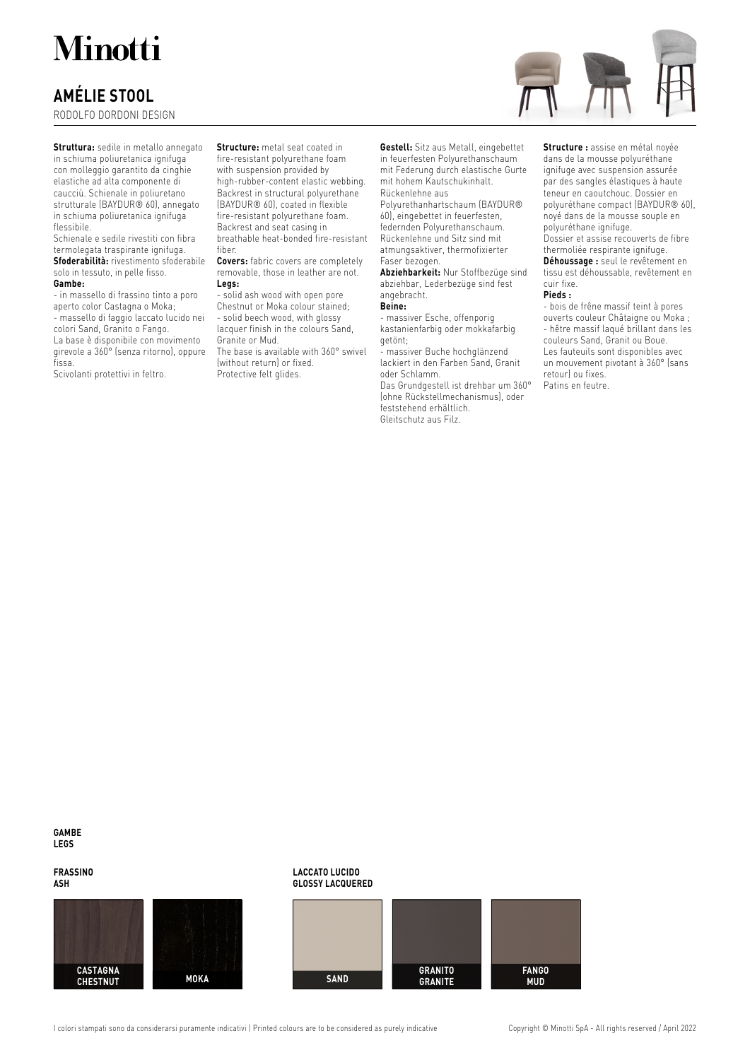## **Minotti**

## **AMÉLIE STOOL**

RODOLFO DORDONI DESIGN



**Struttura:** sedile in metallo annegato in schiuma poliuretanica ignifuga con molleggio garantito da cinghie elastiche ad alta componente di caucciù. Schienale in poliuretano strutturale (BAYDUR® 60), annegato in schiuma poliuretanica ignifuga flessibile.

Schienale e sedile rivestiti con fibra termolegata traspirante ignifuga. **Sfoderabilità:** rivestimento sfoderabile solo in tessuto, in pelle fisso. **Gambe:**

- in massello di frassino tinto a poro aperto color Castagna o Moka; - massello di faggio laccato lucido nei colori Sand, Granito o Fango. La base è disponibile con movimento girevole a 360° (senza ritorno), oppure fissa.

Scivolanti protettivi in feltro.

**Structure:** metal seat coated in fire-resistant polyurethane foam with suspension provided by high-rubber-content elastic webbing. Backrest in structural polyurethane (BAYDUR® 60), coated in flexible fire-resistant polyurethane foam. Backrest and seat casing in breathable heat-bonded fire-resistant fiber.

**Covers:** fabric covers are completely removable, those in leather are not. **Legs:**

- solid ash wood with open pore Chestnut or Moka colour stained; - solid beech wood, with glossy lacquer finish in the colours Sand, Granite or Mud. The base is available with 360° swivel (without return) or fixed.

Protective felt glides.

**Gestell:** Sitz aus Metall, eingebettet in feuerfesten Polyurethanschaum mit Federung durch elastische Gurte mit hohem Kautschukinhalt. Rückenlehne aus

Polyurethanhartschaum (BAYDUR® 60), eingebettet in feuerfesten, federnden Polyurethanschaum. Rückenlehne und Sitz sind mit atmungsaktiver, thermofixierter Faser bezogen.

**Abziehbarkeit:** Nur Stoffbezüge sind abziehbar, Lederbezüge sind fest angebracht.

### **Beine:**

- massiver Esche, offenporig kastanienfarbig oder mokkafarbig getönt;

- massiver Buche hochglänzend lackiert in den Farben Sand, Granit oder Schlamm.

Das Grundgestell ist drehbar um 360° (ohne Rückstellmechanismus), oder feststehend erhältlich. Gleitschutz aus Filz.

**Structure :** assise en métal noyée dans de la mousse polyuréthane ignifuge avec suspension assurée par des sangles élastiques à haute teneur en caoutchouc. Dossier en polyuréthane compact (BAYDUR® 60), noyé dans de la mousse souple en polyuréthane ignifuge.

Dossier et assise recouverts de fibre thermoliée respirante ignifuge. **Déhoussage :** seul le revêtement en

tissu est déhoussable, revêtement en cuir fixe. **Pieds :**

- bois de frêne massif teint à pores ouverts couleur Châtaigne ou Moka ; - hêtre massif laqué brillant dans les couleurs Sand, Granit ou Boue. Les fauteuils sont disponibles avec un mouvement pivotant à 360° (sans retour) ou fixes. Patins en feutre.

**GAMBE LEGS**

**FRASSINO ASH**





**GLOSSY LACQUERED SAND FANGO GRANITO GRANITE**

I colori stampati sono da considerarsi puramente indicativi | Printed colours are to be considered as purely indicative Copyright © Minotti SpA - All rights reserved / April 2022

**LACCATO LUCIDO**